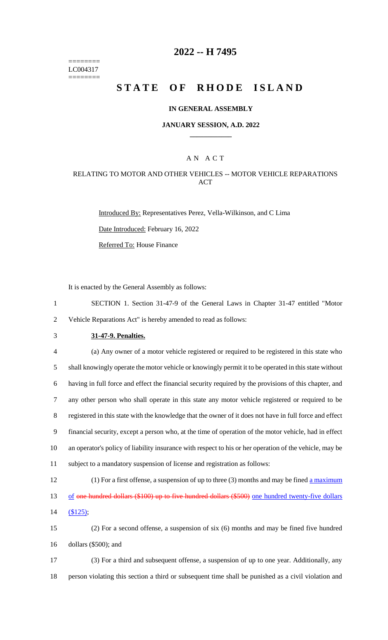======== LC004317 ========

## **2022 -- H 7495**

# **STATE OF RHODE ISLAND**

### **IN GENERAL ASSEMBLY**

### **JANUARY SESSION, A.D. 2022 \_\_\_\_\_\_\_\_\_\_\_\_**

## A N A C T

## RELATING TO MOTOR AND OTHER VEHICLES -- MOTOR VEHICLE REPARATIONS ACT

Introduced By: Representatives Perez, Vella-Wilkinson, and C Lima Date Introduced: February 16, 2022 Referred To: House Finance

It is enacted by the General Assembly as follows:

1 SECTION 1. Section 31-47-9 of the General Laws in Chapter 31-47 entitled "Motor 2 Vehicle Reparations Act" is hereby amended to read as follows:

3 **31-47-9. Penalties.**

 (a) Any owner of a motor vehicle registered or required to be registered in this state who shall knowingly operate the motor vehicle or knowingly permit it to be operated in this state without having in full force and effect the financial security required by the provisions of this chapter, and any other person who shall operate in this state any motor vehicle registered or required to be registered in this state with the knowledge that the owner of it does not have in full force and effect financial security, except a person who, at the time of operation of the motor vehicle, had in effect an operator's policy of liability insurance with respect to his or her operation of the vehicle, may be subject to a mandatory suspension of license and registration as follows:

12 (1) For a first offense, a suspension of up to three (3) months and may be fined a maximum 13 of one hundred dollars (\$100) up to five hundred dollars (\$500) one hundred twenty-five dollars 14 (\$125);

15 (2) For a second offense, a suspension of six (6) months and may be fined five hundred 16 dollars (\$500); and

17 (3) For a third and subsequent offense, a suspension of up to one year. Additionally, any 18 person violating this section a third or subsequent time shall be punished as a civil violation and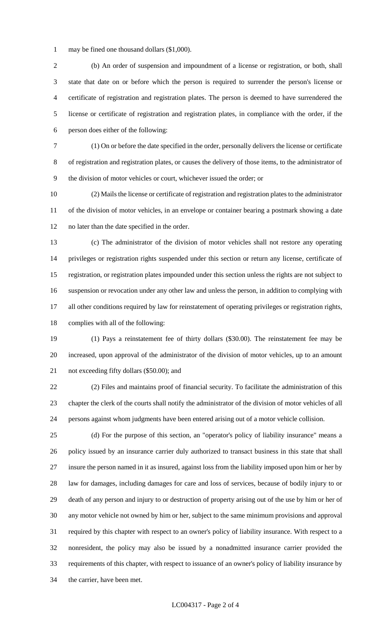may be fined one thousand dollars (\$1,000).

 (b) An order of suspension and impoundment of a license or registration, or both, shall state that date on or before which the person is required to surrender the person's license or certificate of registration and registration plates. The person is deemed to have surrendered the license or certificate of registration and registration plates, in compliance with the order, if the person does either of the following:

 (1) On or before the date specified in the order, personally delivers the license or certificate of registration and registration plates, or causes the delivery of those items, to the administrator of the division of motor vehicles or court, whichever issued the order; or

 (2) Mails the license or certificate of registration and registration plates to the administrator of the division of motor vehicles, in an envelope or container bearing a postmark showing a date no later than the date specified in the order.

 (c) The administrator of the division of motor vehicles shall not restore any operating privileges or registration rights suspended under this section or return any license, certificate of registration, or registration plates impounded under this section unless the rights are not subject to suspension or revocation under any other law and unless the person, in addition to complying with all other conditions required by law for reinstatement of operating privileges or registration rights, complies with all of the following:

 (1) Pays a reinstatement fee of thirty dollars (\$30.00). The reinstatement fee may be increased, upon approval of the administrator of the division of motor vehicles, up to an amount not exceeding fifty dollars (\$50.00); and

 (2) Files and maintains proof of financial security. To facilitate the administration of this chapter the clerk of the courts shall notify the administrator of the division of motor vehicles of all persons against whom judgments have been entered arising out of a motor vehicle collision.

 (d) For the purpose of this section, an "operator's policy of liability insurance" means a policy issued by an insurance carrier duly authorized to transact business in this state that shall insure the person named in it as insured, against loss from the liability imposed upon him or her by law for damages, including damages for care and loss of services, because of bodily injury to or death of any person and injury to or destruction of property arising out of the use by him or her of any motor vehicle not owned by him or her, subject to the same minimum provisions and approval required by this chapter with respect to an owner's policy of liability insurance. With respect to a nonresident, the policy may also be issued by a nonadmitted insurance carrier provided the requirements of this chapter, with respect to issuance of an owner's policy of liability insurance by the carrier, have been met.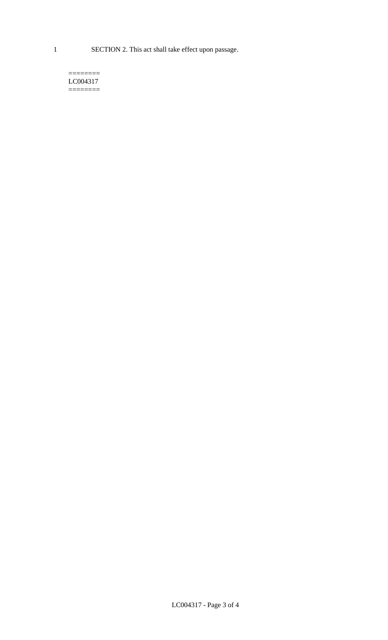1 SECTION 2. This act shall take effect upon passage.

#### $=$ LC004317  $=$